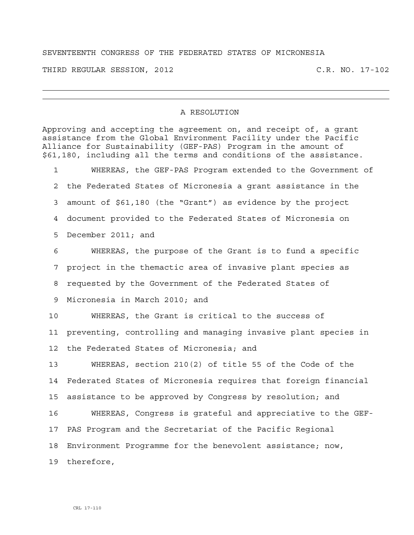## SEVENTEENTH CONGRESS OF THE FEDERATED STATES OF MICRONESIA

THIRD REGULAR SESSION, 2012 C.R. NO. 17-102

## A RESOLUTION

Approving and accepting the agreement on, and receipt of, a grant assistance from the Global Environment Facility under the Pacific Alliance for Sustainability (GEF-PAS) Program in the amount of \$61,180, including all the terms and conditions of the assistance. 1 WHEREAS, the GEF-PAS Program extended to the Government of 2 the Federated States of Micronesia a grant assistance in the 3 amount of \$61,180 (the "Grant") as evidence by the project 4 document provided to the Federated States of Micronesia on 5 December 2011; and 6 WHEREAS, the purpose of the Grant is to fund a specific 7 project in the themactic area of invasive plant species as 8 requested by the Government of the Federated States of 9 Micronesia in March 2010; and 10 WHEREAS, the Grant is critical to the success of 11 preventing, controlling and managing invasive plant species in 12 the Federated States of Micronesia; and 13 WHEREAS, section 210(2) of title 55 of the Code of the 14 Federated States of Micronesia requires that foreign financial 15 assistance to be approved by Congress by resolution; and 16 WHEREAS, Congress is grateful and appreciative to the GEF-17 PAS Program and the Secretariat of the Pacific Regional 18 Environment Programme for the benevolent assistance; now, 19 therefore,